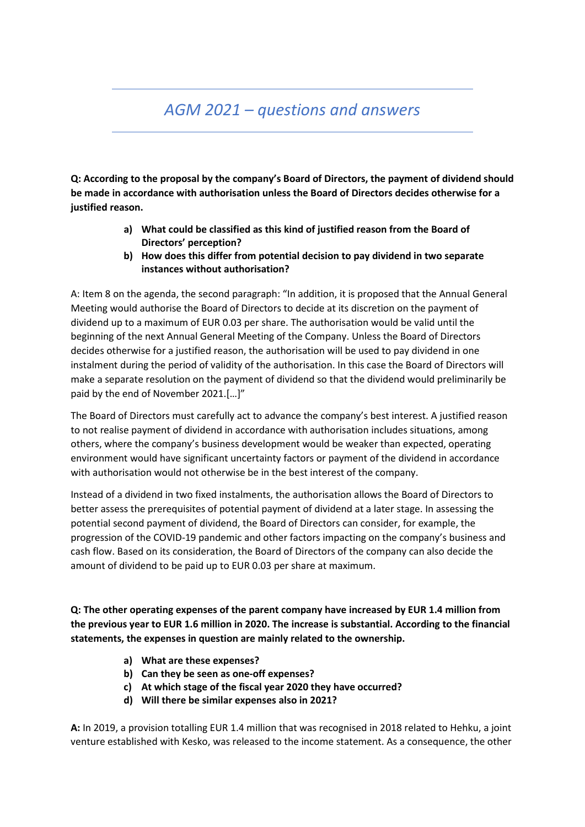## *AGM 2021 – questions and answers*

**Q: According to the proposal by the company's Board of Directors, the payment of dividend should be made in accordance with authorisation unless the Board of Directors decides otherwise for a justified reason.**

- **a) What could be classified as this kind of justified reason from the Board of Directors' perception?**
- **b) How does this differ from potential decision to pay dividend in two separate instances without authorisation?**

A: Item 8 on the agenda, the second paragraph: "In addition, it is proposed that the Annual General Meeting would authorise the Board of Directors to decide at its discretion on the payment of dividend up to a maximum of EUR 0.03 per share. The authorisation would be valid until the beginning of the next Annual General Meeting of the Company. Unless the Board of Directors decides otherwise for a justified reason, the authorisation will be used to pay dividend in one instalment during the period of validity of the authorisation. In this case the Board of Directors will make a separate resolution on the payment of dividend so that the dividend would preliminarily be paid by the end of November 2021.[…]"

The Board of Directors must carefully act to advance the company's best interest. A justified reason to not realise payment of dividend in accordance with authorisation includes situations, among others, where the company's business development would be weaker than expected, operating environment would have significant uncertainty factors or payment of the dividend in accordance with authorisation would not otherwise be in the best interest of the company.

Instead of a dividend in two fixed instalments, the authorisation allows the Board of Directors to better assess the prerequisites of potential payment of dividend at a later stage. In assessing the potential second payment of dividend, the Board of Directors can consider, for example, the progression of the COVID-19 pandemic and other factors impacting on the company's business and cash flow. Based on its consideration, the Board of Directors of the company can also decide the amount of dividend to be paid up to EUR 0.03 per share at maximum.

**Q: The other operating expenses of the parent company have increased by EUR 1.4 million from the previous year to EUR 1.6 million in 2020. The increase is substantial. According to the financial statements, the expenses in question are mainly related to the ownership.**

- **a) What are these expenses?**
- **b) Can they be seen as one-off expenses?**
- **c) At which stage of the fiscal year 2020 they have occurred?**
- **d) Will there be similar expenses also in 2021?**

**A:** In 2019, a provision totalling EUR 1.4 million that was recognised in 2018 related to Hehku, a joint venture established with Kesko, was released to the income statement. As a consequence, the other